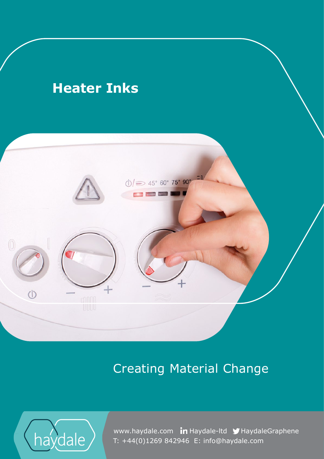### **Creation Material Change Material Change Change Change Change Heater Inks**



# Creating Material Change



 T: +44(0)1269 842946 E: info@haydale.comwww.haydale.com in Haydale-Itd MHaydaleGraphene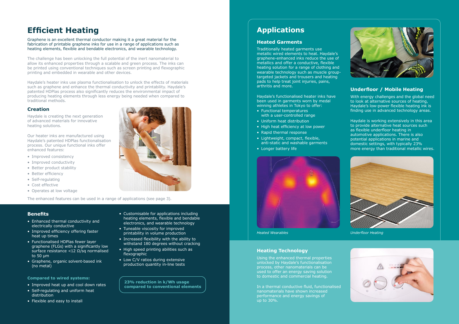## **Efficient Heating**

Graphene is an excellent thermal conductor making it a great material for the fabrication of printable graphene inks for use in a range of applications such as heating elements, flexible and bendable electronics, and wearable technology.

The challenge has been unlocking the full potential of the inert nanomaterial to allow its enhanced properties through a scalable and green process. The inks can be printed using conventional techniques such as screen printing and flexographic printing and embedded in wearable and other devices.

Haydale's heater inks use plasma functionalisation to unlock the effects of materials such as graphene and enhance the thermal conductivity and printability. Haydale's patented HDPlas process also significantly reduces the environmental impact of producing heating elements through less energy being needed when compared to traditional methods.

#### **Creation**

Haydale is creating the next generation of advanced materials for innovative heating solutions.

Our heater inks are manufactured using Haydale's patented HDPlas functionalisation process. Our unique functional inks offer enhanced features:

- Improved consistency
- Improved conductivity
- Better product stability
- Better efficiency
- Self-regulating
- Cost effective
- Operates at low voltage

The enhanced features can be used in a range of applications (see page 3).

**23% reduction in k/Wh usage compared to conventional elements**

#### **Benefits**

- Enhanced thermal conductivity and electrically conductive
- Improved efficiency offering faster heat up times
- Functionalised HDPlas fewer layer graphene (FLGs) with a significantly low surface resistance <12 Ω/sq normalised to 50 µm
- Graphene, organic solvent-based ink (no metal)
- Customisable for applications including heating elements, flexible and bendable electronics, and wearable technology
- Tuneable viscosity for improved printability in volume production
- Increased flexibility with the ability to withstand 180 degrees without cracking
- High speed printing abilities such as flexographic
- Low C/V ratios during extensive production quantity in-line tests

#### **Compared to wired systems:**

- Improved heat up and cool down rates
- Self-regulating and uniform heat distribution
- Flexible and easy to install

### **Applications**

#### **Heated Garments**

Traditionally heated garments use metallic wired elements to heat. Haydale's graphene-enhanced inks reduce the use of metallics and offer a conductive, flexible heating solution for a range of clothing and wearable technology such as muscle grouptargeted jackets and trousers and heating pads to help treat joint injuries, pains, arthritis and more.

Haydale's functionalised heater inks have been used in garments worn by medal winning athletes in Tokyo to offer:

- Functional temperatures with a user-controlled range
- Uniform heat distribution
- High heat efficiency at low power
- Rapid thermal response
- Lightweight, compact, flexible, anti-static and washable garments
- Longer battery life



#### **Underfloor / Mobile Heating**

With energy challenges and the global need to look at alternative sources of heating, Haydale's low-power flexible heating ink is finding use in advanced technology areas.

Haydale is working extensively in this area to provide alternative heat sources such as flexible underfloor heating in automotive applications. There is also potential applications in marine and domestic settings, with typically 23% more energy than traditional metallic wires.

*Heated Wearables*

#### **Heating Technology**

Using the enhanced thermal properties unlocked by Haydale's functionalisation process, other nanomaterials can be used to offer an energy saving solution to domestic and commercial heating.

In a thermal conductive fluid, functionalised nanomaterials have shown increased performance and energy savings of up to 30%.







*Underfloor Heating*